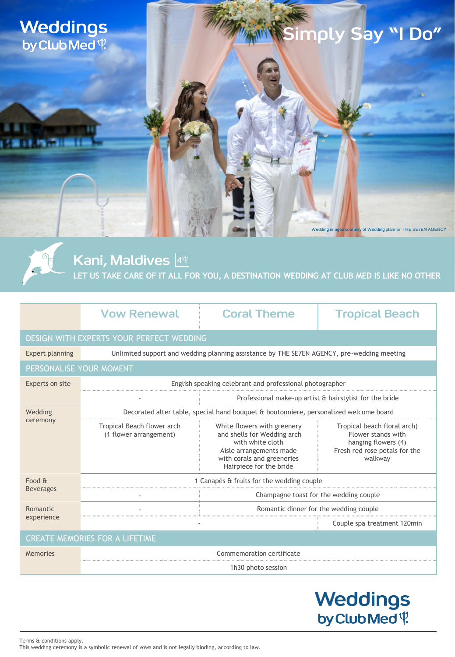

 $\partial$  $\cdot$ <sup>1</sup>

# Simply S<mark>ay "I Do"</mark>

Wedding images courtesy of Wedding planner: THE SE7EN AGENCY

Kani, Maldives  $\frac{1}{4}$ **LET US TAKE CARE OF IT ALL FOR YOU, A DESTINATION WEDDING AT CLUB MED IS LIKE NO OTHER**

|                                          | <b>Vow Renewal</b>                                                                         | <b>Coral Theme</b>                                                                                                                                                 | <b>Tropical Beach</b>                                                                                                |
|------------------------------------------|--------------------------------------------------------------------------------------------|--------------------------------------------------------------------------------------------------------------------------------------------------------------------|----------------------------------------------------------------------------------------------------------------------|
| DESIGN WITH EXPERTS YOUR PERFECT WEDDING |                                                                                            |                                                                                                                                                                    |                                                                                                                      |
| <b>Expert planning</b>                   | Unlimited support and wedding planning assistance by THE SE7EN AGENCY, pre-wedding meeting |                                                                                                                                                                    |                                                                                                                      |
| PERSONALISE YOUR MOMENT                  |                                                                                            |                                                                                                                                                                    |                                                                                                                      |
| Experts on site                          | English speaking celebrant and professional photographer                                   |                                                                                                                                                                    |                                                                                                                      |
|                                          |                                                                                            | Professional make-up artist & hairstylist for the bride                                                                                                            |                                                                                                                      |
| Wedding<br>ceremony                      | Decorated alter table, special hand bouquet & boutonniere, personalized welcome board      |                                                                                                                                                                    |                                                                                                                      |
|                                          | Tropical Beach flower arch<br>(1 flower arrangement)                                       | White flowers with greenery<br>and shells for Wedding arch<br>with white cloth<br>Aisle arrangements made<br>with corals and greeneries<br>Hairpiece for the bride | Tropical beach floral arch)<br>Flower stands with<br>hanging flowers (4)<br>Fresh red rose petals for the<br>walkway |
| Food &<br><b>Beverages</b>               | 1 Canapés & fruits for the wedding couple                                                  |                                                                                                                                                                    |                                                                                                                      |
|                                          |                                                                                            | Champagne toast for the wedding couple                                                                                                                             |                                                                                                                      |
| Romantic<br>experience                   |                                                                                            | Romantic dinner for the wedding couple                                                                                                                             |                                                                                                                      |
|                                          |                                                                                            |                                                                                                                                                                    | Couple spa treatment 120min                                                                                          |
| <b>CREATE MEMORIES FOR A LIFETIME</b>    |                                                                                            |                                                                                                                                                                    |                                                                                                                      |
| <b>Memories</b>                          | Commemoration certificate                                                                  |                                                                                                                                                                    |                                                                                                                      |
|                                          | 1h30 photo session                                                                         |                                                                                                                                                                    |                                                                                                                      |
|                                          |                                                                                            |                                                                                                                                                                    |                                                                                                                      |

### **Weddings** by Club Med<sup>q</sup>

Terms & conditions apply. This wedding ceremony is a symbolic renewal of vows and is not legally binding, according to law.